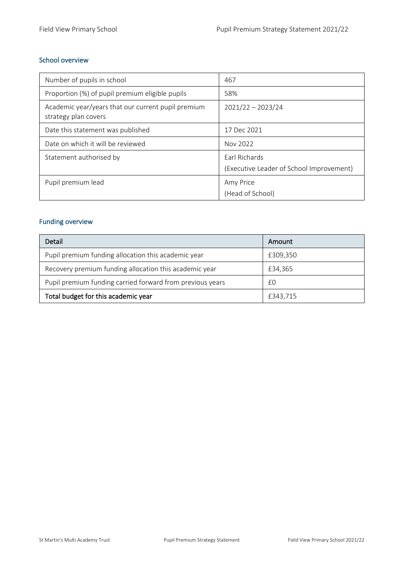## School overview

| Number of pupils in school                                                 | 467                                                       |
|----------------------------------------------------------------------------|-----------------------------------------------------------|
| Proportion (%) of pupil premium eligible pupils                            | 58%                                                       |
| Academic year/years that our current pupil premium<br>strategy plan covers | $2021/22 - 2023/24$                                       |
| Date this statement was published                                          | 17 Dec 2021                                               |
| Date on which it will be reviewed                                          | Nov 2022                                                  |
| Statement authorised by                                                    | Earl Richards<br>(Executive Leader of School Improvement) |
| Pupil premium lead                                                         | Amy Price<br>(Head of School)                             |

## Funding overview

| Detail                                                    | Amount   |
|-----------------------------------------------------------|----------|
| Pupil premium funding allocation this academic year       | £309,350 |
| Recovery premium funding allocation this academic year    | £34,365  |
| Pupil premium funding carried forward from previous years | £0       |
| Total budget for this academic year                       | £343,715 |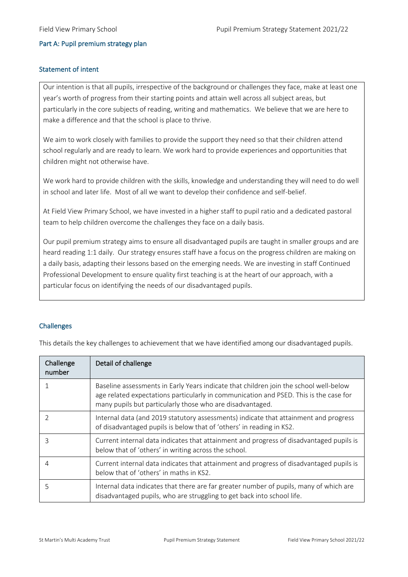### Part A: Pupil premium strategy plan

### Statement of intent

Our intention is that all pupils, irrespective of the background or challenges they face, make at least one year's worth of progress from their starting points and attain well across all subject areas, but particularly in the core subjects of reading, writing and mathematics. We believe that we are here to make a difference and that the school is place to thrive.

We aim to work closely with families to provide the support they need so that their children attend school regularly and are ready to learn. We work hard to provide experiences and opportunities that children might not otherwise have.

We work hard to provide children with the skills, knowledge and understanding they will need to do well in school and later life. Most of all we want to develop their confidence and self-belief.

At Field View Primary School, we have invested in a higher staff to pupil ratio and a dedicated pastoral team to help children overcome the challenges they face on a daily basis.

Our pupil premium strategy aims to ensure all disadvantaged pupils are taught in smaller groups and are heard reading 1:1 daily. Our strategy ensures staff have a focus on the progress children are making on a daily basis, adapting their lessons based on the emerging needs. We are investing in staff Continued Professional Development to ensure quality first teaching is at the heart of our approach, with a particular focus on identifying the needs of our disadvantaged pupils.

### Challenges

This details the key challenges to achievement that we have identified among our disadvantaged pupils.

| Challenge<br>number | Detail of challenge                                                                                                                                                                                                                         |
|---------------------|---------------------------------------------------------------------------------------------------------------------------------------------------------------------------------------------------------------------------------------------|
|                     | Baseline assessments in Early Years indicate that children join the school well-below<br>age related expectations particularly in communication and PSED. This is the case for<br>many pupils but particularly those who are disadvantaged. |
|                     | Internal data (and 2019 statutory assessments) indicate that attainment and progress<br>of disadvantaged pupils is below that of 'others' in reading in KS2.                                                                                |
| 3                   | Current internal data indicates that attainment and progress of disadvantaged pupils is<br>below that of 'others' in writing across the school.                                                                                             |
| 4                   | Current internal data indicates that attainment and progress of disadvantaged pupils is<br>below that of 'others' in maths in KS2.                                                                                                          |
| 5                   | Internal data indicates that there are far greater number of pupils, many of which are<br>disadvantaged pupils, who are struggling to get back into school life.                                                                            |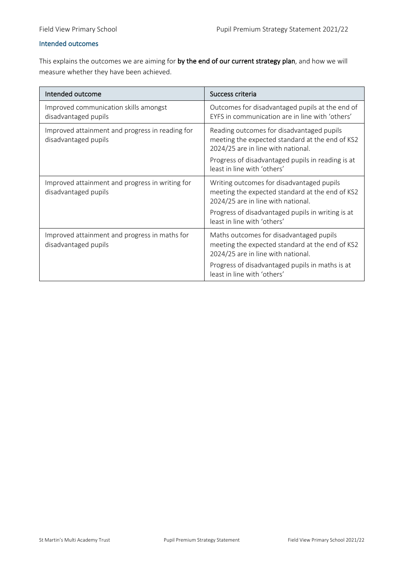## Intended outcomes

This explains the outcomes we are aiming for by the end of our current strategy plan, and how we will measure whether they have been achieved.

| Intended outcome                                                        | Success criteria                                                                                                                   |
|-------------------------------------------------------------------------|------------------------------------------------------------------------------------------------------------------------------------|
| Improved communication skills amongst<br>disadvantaged pupils           | Outcomes for disadvantaged pupils at the end of<br>FYES in communication are in line with 'others'                                 |
| Improved attainment and progress in reading for<br>disadvantaged pupils | Reading outcomes for disadvantaged pupils<br>meeting the expected standard at the end of KS2<br>2024/25 are in line with national. |
|                                                                         | Progress of disadvantaged pupils in reading is at<br>least in line with 'others'                                                   |
| Improved attainment and progress in writing for<br>disadvantaged pupils | Writing outcomes for disadvantaged pupils<br>meeting the expected standard at the end of KS2<br>2024/25 are in line with national. |
|                                                                         | Progress of disadvantaged pupils in writing is at<br>least in line with 'others'                                                   |
| Improved attainment and progress in maths for<br>disadvantaged pupils   | Maths outcomes for disadvantaged pupils<br>meeting the expected standard at the end of KS2<br>2024/25 are in line with national.   |
|                                                                         | Progress of disadvantaged pupils in maths is at<br>least in line with 'others'                                                     |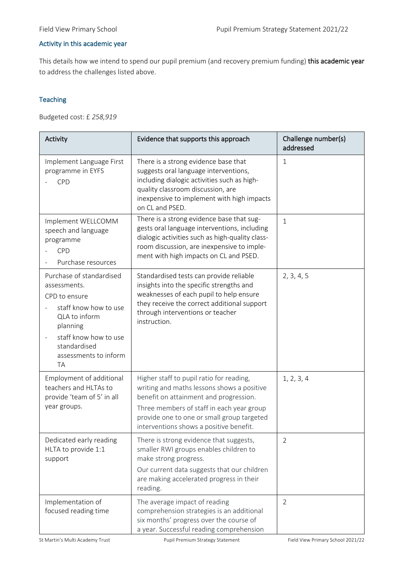## Activity in this academic year

This details how we intend to spend our pupil premium (and recovery premium funding) this academic year to address the challenges listed above.

## Teaching

Budgeted cost: £ *258,919*

| Activity                                                                                                                                                                                       | Evidence that supports this approach                                                                                                                                                                                                                                   | Challenge number(s)<br>addressed |
|------------------------------------------------------------------------------------------------------------------------------------------------------------------------------------------------|------------------------------------------------------------------------------------------------------------------------------------------------------------------------------------------------------------------------------------------------------------------------|----------------------------------|
| Implement Language First<br>programme in EYFS<br><b>CPD</b>                                                                                                                                    | There is a strong evidence base that<br>suggests oral language interventions,<br>including dialogic activities such as high-<br>quality classroom discussion, are<br>inexpensive to implement with high impacts<br>on CL and PSED.                                     | 1                                |
| Implement WELLCOMM<br>speech and language<br>programme<br><b>CPD</b><br>Purchase resources                                                                                                     | There is a strong evidence base that sug-<br>gests oral language interventions, including<br>dialogic activities such as high-quality class-<br>room discussion, are inexpensive to imple-<br>ment with high impacts on CL and PSED.                                   | $\mathbf{1}$                     |
| Purchase of standardised<br>assessments.<br>CPD to ensure<br>staff know how to use<br>QLA to inform<br>planning<br>staff know how to use<br>standardised<br>assessments to inform<br><b>TA</b> | Standardised tests can provide reliable<br>insights into the specific strengths and<br>weaknesses of each pupil to help ensure<br>they receive the correct additional support<br>through interventions or teacher<br>instruction.                                      | 2, 3, 4, 5                       |
| Employment of additional<br>teachers and HLTAs to<br>provide 'team of 5' in all<br>year groups.                                                                                                | Higher staff to pupil ratio for reading,<br>writing and maths lessons shows a positive<br>benefit on attainment and progression.<br>Three members of staff in each year group<br>provide one to one or small group targeted<br>interventions shows a positive benefit. | 1, 2, 3, 4                       |
| Dedicated early reading<br>HLTA to provide 1:1<br>support                                                                                                                                      | There is strong evidence that suggests,<br>smaller RWI groups enables children to<br>make strong progress.<br>Our current data suggests that our children<br>are making accelerated progress in their<br>reading.                                                      | 2                                |
| Implementation of<br>focused reading time                                                                                                                                                      | The average impact of reading<br>comprehension strategies is an additional<br>six months' progress over the course of<br>a year. Successful reading comprehension                                                                                                      | 2                                |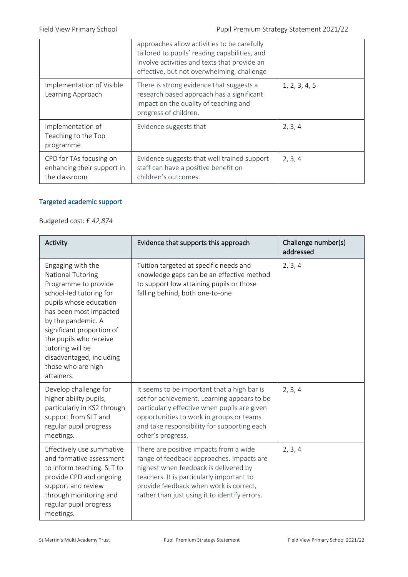|                                                                        | approaches allow activities to be carefully<br>tailored to pupils' reading capabilities, and<br>involve activities and texts that provide an<br>effective, but not overwhelming, challenge |               |
|------------------------------------------------------------------------|--------------------------------------------------------------------------------------------------------------------------------------------------------------------------------------------|---------------|
| Implementation of Visible<br>Learning Approach                         | There is strong evidence that suggests a<br>research based approach has a significant<br>impact on the quality of teaching and<br>progress of children.                                    | 1, 2, 3, 4, 5 |
| Implementation of<br>Teaching to the Top<br>programme                  | Evidence suggests that                                                                                                                                                                     | 2, 3, 4       |
| CPD for TAs focusing on<br>enhancing their support in<br>the classroom | Evidence suggests that well trained support<br>staff can have a positive benefit on<br>children's outcomes.                                                                                | 2, 3, 4       |

## Targeted academic support

Budgeted cost: £ *42,874*

| Activity                                                                                                                                                                                                                                                                                                              | Evidence that supports this approach                                                                                                                                                                                                                                 | Challenge number(s)<br>addressed |
|-----------------------------------------------------------------------------------------------------------------------------------------------------------------------------------------------------------------------------------------------------------------------------------------------------------------------|----------------------------------------------------------------------------------------------------------------------------------------------------------------------------------------------------------------------------------------------------------------------|----------------------------------|
| Engaging with the<br><b>National Tutoring</b><br>Programme to provide<br>school-led tutoring for<br>pupils whose education<br>has been most impacted<br>by the pandemic. A<br>significant proportion of<br>the pupils who receive<br>tutoring will be<br>disadvantaged, including<br>those who are high<br>attainers. | Tuition targeted at specific needs and<br>knowledge gaps can be an effective method<br>to support low attaining pupils or those<br>falling behind, both one-to-one                                                                                                   | 2, 3, 4                          |
| Develop challenge for<br>higher ability pupils,<br>particularly in KS2 through<br>support from SLT and<br>regular pupil progress<br>meetings.                                                                                                                                                                         | It seems to be important that a high bar is<br>set for achievement. Learning appears to be<br>particularly effective when pupils are given<br>opportunities to work in groups or teams<br>and take responsibility for supporting each<br>other's progress.           | 2, 3, 4                          |
| Effectively use summative<br>and formative assessment<br>to inform teaching. SLT to<br>provide CPD and ongoing<br>support and review<br>through monitoring and<br>regular pupil progress<br>meetings.                                                                                                                 | There are positive impacts from a wide<br>range of feedback approaches. Impacts are<br>highest when feedback is delivered by<br>teachers. It is particularly important to<br>provide feedback when work is correct,<br>rather than just using it to identify errors. | 2, 3, 4                          |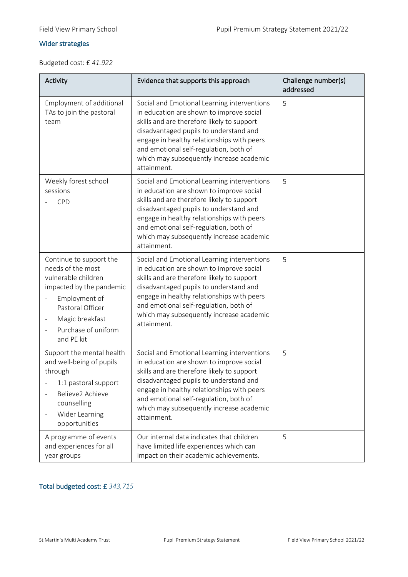# Wider strategies

Budgeted cost: £ *41.922*

| Activity                                                                                                                                                                                     | Evidence that supports this approach                                                                                                                                                                                                                                                                                               | Challenge number(s)<br>addressed |
|----------------------------------------------------------------------------------------------------------------------------------------------------------------------------------------------|------------------------------------------------------------------------------------------------------------------------------------------------------------------------------------------------------------------------------------------------------------------------------------------------------------------------------------|----------------------------------|
| Employment of additional<br>TAs to join the pastoral<br>team                                                                                                                                 | Social and Emotional Learning interventions<br>in education are shown to improve social<br>skills and are therefore likely to support<br>disadvantaged pupils to understand and<br>engage in healthy relationships with peers<br>and emotional self-regulation, both of<br>which may subsequently increase academic<br>attainment. | 5                                |
| Weekly forest school<br>sessions<br>CPD                                                                                                                                                      | Social and Emotional Learning interventions<br>in education are shown to improve social<br>skills and are therefore likely to support<br>disadvantaged pupils to understand and<br>engage in healthy relationships with peers<br>and emotional self-regulation, both of<br>which may subsequently increase academic<br>attainment. | 5                                |
| Continue to support the<br>needs of the most<br>vulnerable children<br>impacted by the pandemic<br>Employment of<br>Pastoral Officer<br>Magic breakfast<br>Purchase of uniform<br>and PE kit | Social and Emotional Learning interventions<br>in education are shown to improve social<br>skills and are therefore likely to support<br>disadvantaged pupils to understand and<br>engage in healthy relationships with peers<br>and emotional self-regulation, both of<br>which may subsequently increase academic<br>attainment. | 5                                |
| Support the mental health<br>and well-being of pupils<br>through<br>1:1 pastoral support<br>Believe2 Achieve<br>counselling<br>Wider Learning<br>opportunities                               | Social and Emotional Learning interventions<br>in education are shown to improve social<br>skills and are therefore likely to support<br>disadvantaged pupils to understand and<br>engage in healthy relationships with peers<br>and emotional self-regulation, both of<br>which may subsequently increase academic<br>attainment. | 5                                |
| A programme of events<br>and experiences for all<br>year groups                                                                                                                              | Our internal data indicates that children<br>have limited life experiences which can<br>impact on their academic achievements.                                                                                                                                                                                                     | 5                                |

# Total budgeted cost: £ *343,715*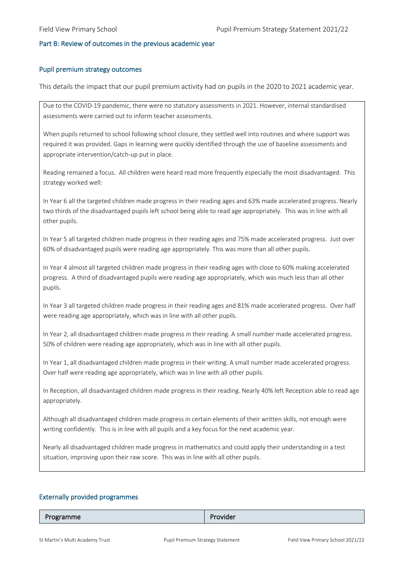#### Part B: Review of outcomes in the previous academic year

#### Pupil premium strategy outcomes

This details the impact that our pupil premium activity had on pupils in the 2020 to 2021 academic year.

Due to the COVID-19 pandemic, there were no statutory assessments in 2021. However, internal standardised assessments were carried out to inform teacher assessments.

When pupils returned to school following school closure, they settled well into routines and where support was required it was provided. Gaps in learning were quickly identified through the use of baseline assessments and appropriate intervention/catch-up put in place.

Reading remained a focus. All children were heard read more frequently especially the most disadvantaged. This strategy worked well:

In Year 6 all the targeted children made progress in their reading ages and 63% made accelerated progress. Nearly two thirds of the disadvantaged pupils left school being able to read age appropriately. This was in line with all other pupils.

In Year 5 all targeted children made progress in their reading ages and 75% made accelerated progress. Just over 60% of disadvantaged pupils were reading age appropriately. This was more than all other pupils.

In Year 4 almost all targeted children made progress in their reading ages with close to 60% making accelerated progress. A third of disadvantaged pupils were reading age appropriately, which was much less than all other pupils.

In Year 3 all targeted children made progress in their reading ages and 81% made accelerated progress. Over half were reading age appropriately, which was in line with all other pupils.

In Year 2, all disadvantaged children made progress in their reading. A small number made accelerated progress. 50% of children were reading age appropriately, which was in line with all other pupils.

In Year 1, all disadvantaged children made progress in their writing. A small number made accelerated progress. Over half were reading age appropriately, which was in line with all other pupils.

In Reception, all disadvantaged children made progress in their reading. Nearly 40% left Reception able to read age appropriately.

Although all disadvantaged children made progress in certain elements of their written skills, not enough were writing confidently. This is in line with all pupils and a key focus for the next academic year.

Nearly all disadvantaged children made progress in mathematics and could apply their understanding in a test situation, improving upon their raw score. This was in line with all other pupils.

### Externally provided programmes

| Programme<br>Provider |
|-----------------------|
|-----------------------|